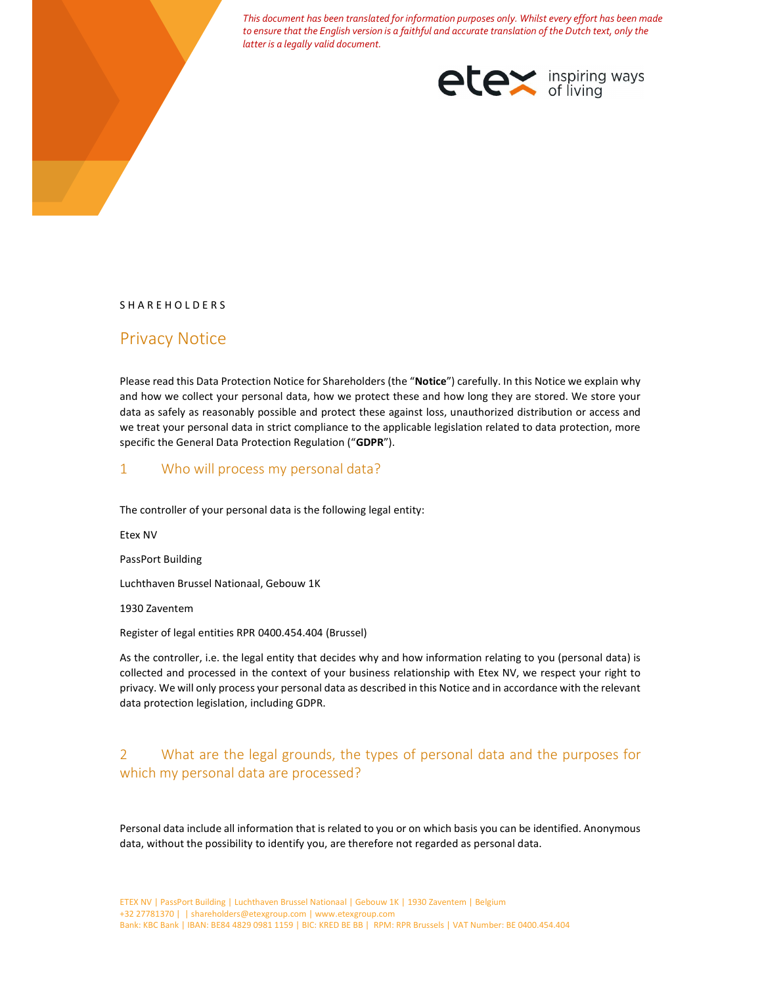This document has been translated for information purposes only. Whilst every effort has been made to ensure that the English version is a faithful and accurate translation of the Dutch text, only the latter is a legally valid document.



#### S H A R E H O L D E R S

# Privacy Notice

Please read this Data Protection Notice for Shareholders (the "Notice") carefully. In this Notice we explain why and how we collect your personal data, how we protect these and how long they are stored. We store your data as safely as reasonably possible and protect these against loss, unauthorized distribution or access and we treat your personal data in strict compliance to the applicable legislation related to data protection, more specific the General Data Protection Regulation ("GDPR").

### 1 Who will process my personal data?

The controller of your personal data is the following legal entity:

Etex NV

PassPort Building

Luchthaven Brussel Nationaal, Gebouw 1K

1930 Zaventem

Register of legal entities RPR 0400.454.404 (Brussel)

As the controller, i.e. the legal entity that decides why and how information relating to you (personal data) is collected and processed in the context of your business relationship with Etex NV, we respect your right to privacy. We will only process your personal data as described in this Notice and in accordance with the relevant data protection legislation, including GDPR.

# 2 What are the legal grounds, the types of personal data and the purposes for which my personal data are processed?

Personal data include all information that is related to you or on which basis you can be identified. Anonymous data, without the possibility to identify you, are therefore not regarded as personal data.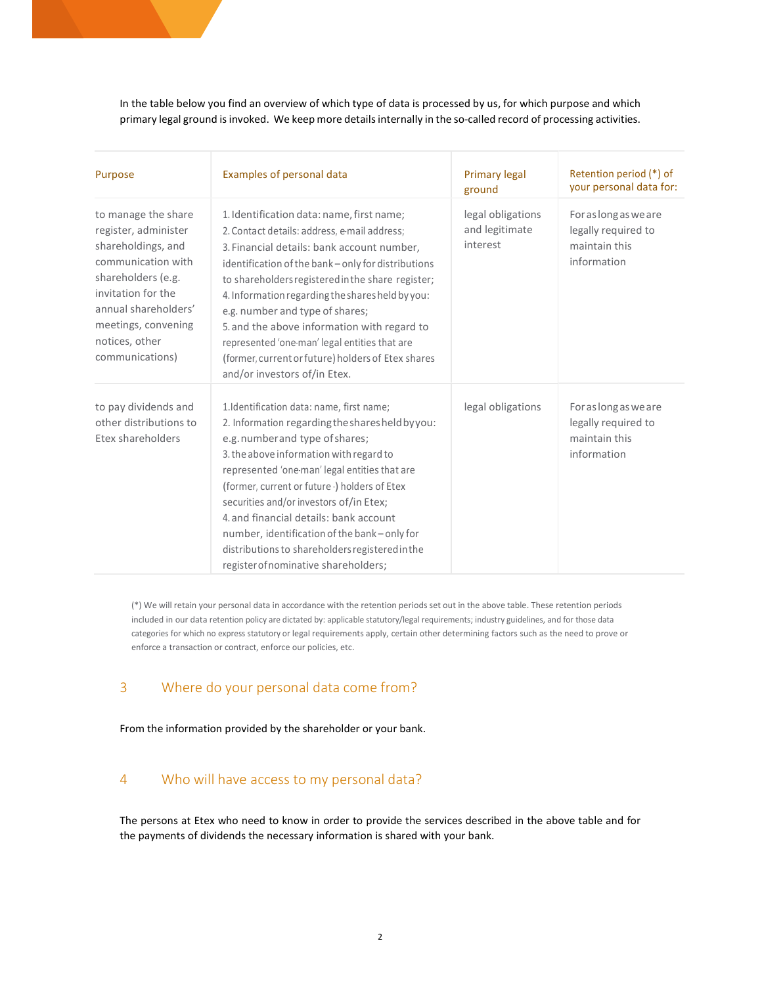In the table below you find an overview of which type of data is processed by us, for which purpose and which primary legal ground is invoked. We keep more details internally in the so-called record of processing activities.

| Purpose                                                                                                                                                                                                                 | Examples of personal data                                                                                                                                                                                                                                                                                                                                                                                                                                                                                                        | <b>Primary legal</b><br>ground                  | Retention period (*) of<br>your personal data for:                           |
|-------------------------------------------------------------------------------------------------------------------------------------------------------------------------------------------------------------------------|----------------------------------------------------------------------------------------------------------------------------------------------------------------------------------------------------------------------------------------------------------------------------------------------------------------------------------------------------------------------------------------------------------------------------------------------------------------------------------------------------------------------------------|-------------------------------------------------|------------------------------------------------------------------------------|
| to manage the share<br>register, administer<br>shareholdings, and<br>communication with<br>shareholders (e.g.<br>invitation for the<br>annual shareholders'<br>meetings, convening<br>notices, other<br>communications) | 1. Identification data: name, first name;<br>2. Contact details: address, e-mail address;<br>3. Financial details: bank account number,<br>identification of the bank - only for distributions<br>to shareholders registered in the share register;<br>4. Information regarding the shares held by you:<br>e.g. number and type of shares;<br>5. and the above information with regard to<br>represented 'one-man' legal entities that are<br>(former, current or future) holders of Etex shares<br>and/or investors of/in Etex. | legal obligations<br>and legitimate<br>interest | For as long as we are<br>legally required to<br>maintain this<br>information |
| to pay dividends and<br>other distributions to<br>Etex shareholders                                                                                                                                                     | 1.Identification data: name, first name;<br>2. Information regarding the shares held by you:<br>e.g. number and type of shares;<br>3. the above information with regard to<br>represented 'one-man' legal entities that are<br>(former, current or future ·) holders of Etex<br>securities and/or investors of/in Etex;<br>4. and financial details: bank account<br>number, identification of the bank-only for<br>distributions to shareholders registered in the<br>register of nominative shareholders;                      | legal obligations                               | For as long as we are<br>legally required to<br>maintain this<br>information |

(\*) We will retain your personal data in accordance with the retention periods set out in the above table. These retention periods included in our data retention policy are dictated by: applicable statutory/legal requirements; industry guidelines, and for those data categories for which no express statutory or legal requirements apply, certain other determining factors such as the need to prove or enforce a transaction or contract, enforce our policies, etc.

## 3 Where do your personal data come from?

From the information provided by the shareholder or your bank.

## 4 Who will have access to my personal data?

The persons at Etex who need to know in order to provide the services described in the above table and for the payments of dividends the necessary information is shared with your bank.